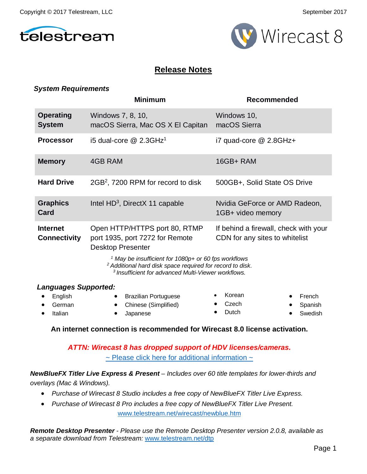



## **Release Notes**

#### *System Requirements*

|                                                             | <b>Minimum</b>                                                                                                                                                                                                                                                                                                                                                                       | <b>Recommended</b>                                       |
|-------------------------------------------------------------|--------------------------------------------------------------------------------------------------------------------------------------------------------------------------------------------------------------------------------------------------------------------------------------------------------------------------------------------------------------------------------------|----------------------------------------------------------|
| <b>Operating</b><br><b>System</b>                           | Windows 7, 8, 10,<br>macOS Sierra, Mac OS X El Capitan                                                                                                                                                                                                                                                                                                                               | Windows 10,<br>macOS Sierra                              |
| <b>Processor</b>                                            | i5 dual-core $@$ 2.3GHz <sup>1</sup>                                                                                                                                                                                                                                                                                                                                                 | $i7$ quad-core $@$ 2.8GHz+                               |
| <b>Memory</b>                                               | 4GB RAM                                                                                                                                                                                                                                                                                                                                                                              | 16GB+RAM                                                 |
| <b>Hard Drive</b>                                           | 2GB <sup>2</sup> , 7200 RPM for record to disk                                                                                                                                                                                                                                                                                                                                       | 500GB+, Solid State OS Drive                             |
| <b>Graphics</b><br>Card                                     | Intel $HD^3$ , DirectX 11 capable                                                                                                                                                                                                                                                                                                                                                    | Nvidia GeForce or AMD Radeon,<br>1GB+ video memory       |
| <b>Internet</b><br><b>Connectivity</b>                      | Open HTTP/HTTPS port 80, RTMP<br>If behind a firewall, check with your<br>port 1935, port 7272 for Remote<br>CDN for any sites to whitelist<br><b>Desktop Presenter</b><br><sup>1</sup> May be insufficient for 1080p+ or 60 fps workflows<br><sup>2</sup> Additional hard disk space required for record to disk.<br><sup>3</sup> Insufficient for advanced Multi-Viewer workflows. |                                                          |
| <b>Languages Supported:</b><br>English<br>German<br>Italian | <b>Brazilian Portuguese</b><br>Chinese (Simplified)<br>Japanese                                                                                                                                                                                                                                                                                                                      | Korean<br>French<br>Czech<br>Spanish<br>Dutch<br>Swedish |

**An internet connection is recommended for Wirecast 8.0 license activation.**

*ATTN: Wirecast 8 has dropped support of HDV licenses/cameras.*   $\sim$  [Please click here for additional information](http://www.telestream.net/telestream-support/wire-cast/faq.htm?kbURL=http://telestream.force.com/kb/articles/Knowledge_Article/Wirecast-HDV-Firewire-No-longer-Supported/)  $\sim$ 

*NewBlueFX Titler Live Express & Present – Includes over 60 title templates for lower-thirds and overlays (Mac & Windows).*

- *Purchase of Wirecast 8 Studio includes a free copy of NewBlueFX Titler Live Express.*
- Purchase of Wirecast 8 Pro includes a free copy of NewBlueFX Titler Live Present. [www.telestream.net/wirecast/newblue.htm](http://www.telestream.net/wirecast/newblue.htm)

*Remote Desktop Presenter - Please use the Remote Desktop Presenter version 2.0.8, available as a separate download from Telestream:* [www.telestream.net/dtp](http://www.telestream.net/dtp)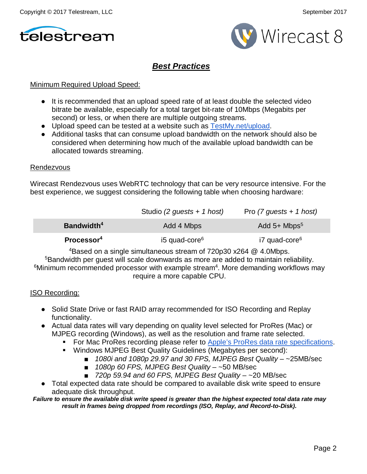



### *Best Practices*

#### Minimum Required Upload Speed:

- It is recommended that an upload speed rate of at least double the selected video bitrate be available, especially for a total target bit-rate of 10Mbps (Megabits per second) or less, or when there are multiple outgoing streams.
- Upload speed can be tested at a website such as [TestMy.net/upload.](http://testmy.net/upload)
- Additional tasks that can consume upload bandwidth on the network should also be considered when determining how much of the available upload bandwidth can be allocated towards streaming.

#### Rendezvous

Wirecast Rendezvous uses WebRTC technology that can be very resource intensive. For the best experience, we suggest considering the following table when choosing hardware:

|                        | Studio (2 guests + 1 host) | Pro $(7$ guests + 1 host)  |
|------------------------|----------------------------|----------------------------|
| Bandwidth <sup>4</sup> | Add 4 Mbps                 | Add $5+$ Mbps <sup>5</sup> |
| Processor <sup>4</sup> | i5 quad-core <sup>6</sup>  | i7 quad-core <sup>6</sup>  |

4Based on a single simultaneous stream of 720p30 x264 @ 4.0Mbps. <sup>5</sup>Bandwidth per guest will scale downwards as more are added to maintain reliability.

<sup>6</sup>Minimum recommended processor with example stream<sup>4</sup>. More demanding workflows may require a more capable CPU.

#### ISO Recording:

- Solid State Drive or fast RAID array recommended for ISO Recording and Replay functionality.
- Actual data rates will vary depending on quality level selected for ProRes (Mac) or MJPEG recording (Windows), as well as the resolution and frame rate selected.
	- For Mac ProRes recording please refer to [Apple's ProRes data rate specifications.](https://documentation.apple.com/en/finalcutpro/professionalformatsandworkflows/index.html)
	- Windows MJPEG Best Quality Guidelines (Megabytes per second):
		- *1080i and 1080p 29.97 and 30 FPS, MJPEG Best Quality* ~25MB/sec
		- *1080p 60 FPS, MJPEG Best Quality* ~50 MB/sec
		- *720p 59.94 and 60 FPS, MJPEG Best Quality* ~20 MB/sec
- Total expected data rate should be compared to available disk write speed to ensure adequate disk throughput.

*Failure to ensure the available disk write speed is greater than the highest expected total data rate may result in frames being dropped from recordings (ISO, Replay, and Record-to-Disk).*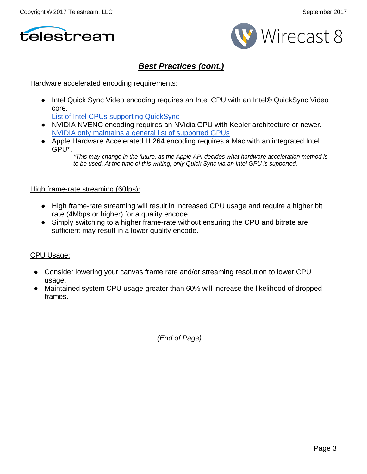



# *Best Practices (cont.)*

#### Hardware accelerated encoding requirements:

● Intel Quick Sync Video encoding requires an Intel CPU with an Intel® QuickSync Video core[.](http://ark.intel.com/search/advanced?QuickSyncVideo=true&MarketSegment=DT)

[List of Intel CPUs supporting QuickSync](http://ark.intel.com/search/advanced?QuickSyncVideo=true&MarketSegment=DT)

- NVIDIA NVENC encoding requires an NVidia GPU with Kepler architecture or newer[.](https://developer.nvidia.com/nvidia-video-codec-sdk) [NVIDIA only maintains a general list of supported GPUs](https://developer.nvidia.com/nvidia-video-codec-sdk)
- Apple Hardware Accelerated H.264 encoding requires a Mac with an integrated Intel GPU\*.

#### High frame-rate streaming (60fps):

- High frame-rate streaming will result in increased CPU usage and require a higher bit rate (4Mbps or higher) for a quality encode.
- Simply switching to a higher frame-rate without ensuring the CPU and bitrate are sufficient may result in a lower quality encode.

#### CPU Usage:

- Consider lowering your canvas frame rate and/or streaming resolution to lower CPU usage.
- Maintained system CPU usage greater than 60% will increase the likelihood of dropped frames.

*(End of Page)*

*<sup>\*</sup>This may change in the future, as the Apple API decides what hardware acceleration method is to be used. At the time of this writing, only Quick Sync via an Intel GPU is supported.*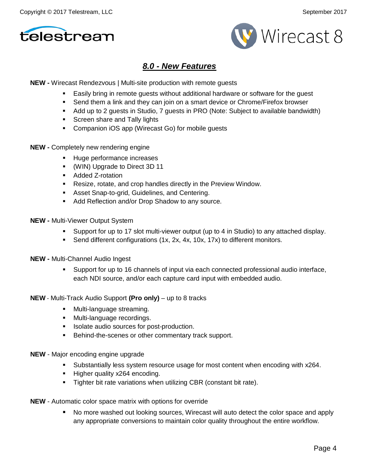



### *8.0 - New Features*

**NEW -** Wirecast Rendezvous | Multi-site production with remote guests

- Easily bring in remote guests without additional hardware or software for the guest
- Send them a link and they can join on a smart device or Chrome/Firefox browser
- Add up to 2 guests in Studio, 7 guests in PRO (Note: Subject to available bandwidth)
- Screen share and Tally lights
- **Companion iOS app (Wirecast Go) for mobile guests**
- **NEW -** Completely new rendering engine
	- Huge performance increases
	- (WIN) Upgrade to Direct 3D 11
	- Added Z-rotation
	- Resize, rotate, and crop handles directly in the Preview Window.
	- Asset Snap-to-grid, Guidelines, and Centering.
	- Add Reflection and/or Drop Shadow to any source.
- **NEW -** Multi-Viewer Output System
	- Support for up to 17 slot multi-viewer output (up to 4 in Studio) to any attached display.
	- Send different configurations (1x, 2x, 4x, 10x, 17x) to different monitors.
- **NEW -** Multi-Channel Audio Ingest
	- Support for up to 16 channels of input via each connected professional audio interface, each NDI source, and/or each capture card input with embedded audio.
- **NEW** Multi-Track Audio Support **(Pro only)** up to 8 tracks
	- **Nulti-language streaming.**
	- **Multi-language recordings.**
	- **ISOlate audio sources for post-production.**
	- **Behind-the-scenes or other commentary track support.**
- **NEW**  Major encoding engine upgrade
	- Substantially less system resource usage for most content when encoding with x264.
	- Higher quality x264 encoding.
	- **Tighter bit rate variations when utilizing CBR (constant bit rate).**
- **NEW** Automatic color space matrix with options for override
	- No more washed out looking sources, Wirecast will auto detect the color space and apply any appropriate conversions to maintain color quality throughout the entire workflow.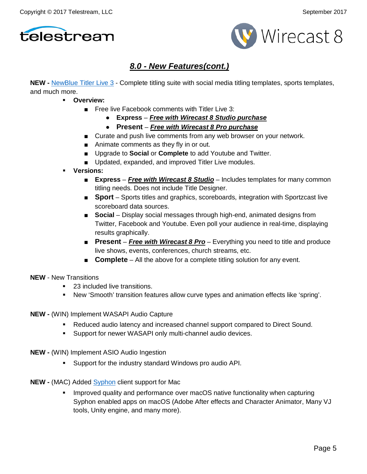



# *8.0 - New Features(cont.)*

**NEW -** [NewBlue Titler Live 3](https://www.newbluefx.com/products/on-air-graphics/titler-live/) - Complete titling suite with social media titling templates, sports templates, and much more.

- **Overview:**
	- Free live Facebook comments with Titler Live 3:
		- **Express** *Free with Wirecast 8 Studio purchase*
		- **Present** *Free with Wirecast 8 Pro purchase*
	- Curate and push live comments from any web browser on your network.
	- Animate comments as they fly in or out.
	- Upgrade to **Social** or **Complete** to add Youtube and Twitter.
	- Updated, expanded, and improved Titler Live modules.
- **Versions:**
	- **Express** *Free with Wirecast 8 Studio* Includes templates for many common titling needs. Does not include Title Designer.
	- **Sport** Sports titles and graphics, scoreboards, integration with Sportzcast live scoreboard data sources.
	- **Social** Display social messages through high-end, animated designs from Twitter, Facebook and Youtube. Even poll your audience in real-time, displaying results graphically.
	- **Present Free with Wirecast 8 Pro** Everything you need to title and produce live shows, events, conferences, church streams, etc.
	- **Complete** All the above for a complete titling solution for any event.
- **NEW**  New Transitions
	- 23 included live transitions.
	- New 'Smooth' transition features allow curve types and animation effects like 'spring'.
- **NEW -** (WIN) Implement WASAPI Audio Capture
	- Reduced audio latency and increased channel support compared to Direct Sound.
	- **Support for newer WASAPI only multi-channel audio devices.**
- **NEW -** (WIN) Implement ASIO Audio Ingestion
	- Support for the industry standard Windows pro audio API.
- **NEW -** (MAC) Added [Syphon](http://telestream.force.com/kb/articles/Knowledge_Article/Wirecast-8-What-is-Syphon) client support for Mac
	- Improved quality and performance over macOS native functionality when capturing Syphon enabled apps on macOS (Adobe After effects and Character Animator, Many VJ tools, Unity engine, and many more).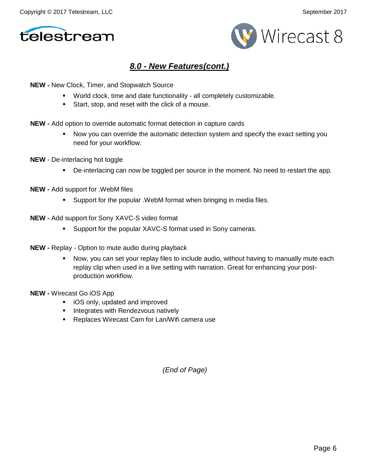



# *8.0 - New Features(cont.)*

**NEW -** New Clock, Timer, and Stopwatch Source

- World clock, time and date functionality all completely customizable.
- Start, stop, and reset with the click of a mouse.
- **NEW -** Add option to override automatic format detection in capture cards
	- Now you can override the automatic detection system and specify the exact setting you need for your workflow.
- **NEW** De-interlacing hot toggle
	- De-interlacing can now be toggled per source in the moment. No need to restart the app.
- **NEW -** Add support for .WebM files
	- **Support for the popular . WebM format when bringing in media files.**
- **NEW -** Add support for Sony XAVC-S video format
	- **Support for the popular XAVC-S format used in Sony cameras.**
- **NEW -** Replay Option to mute audio during playback
	- Now, you can set your replay files to include audio, without having to manually mute each replay clip when used in a live setting with narration. Great for enhancing your postproduction workflow.
- **NEW -** Wirecast Go iOS App
	- **i** iOS only, updated and improved
	- **Integrates with Rendezvous natively**
	- **Replaces Wirecast Cam for Lan/Wifi camera use**

*(End of Page)*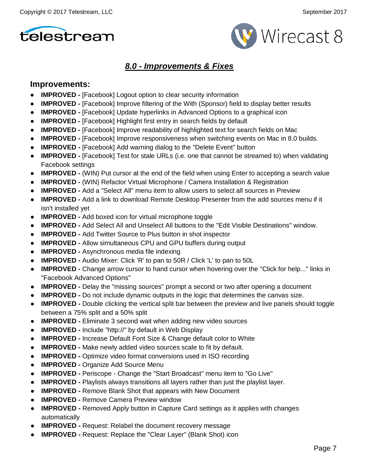



# *8.0 - Improvements & Fixes*

### **Improvements:**

- **IMPROVED -** [Facebook] Logout option to clear security information
- **IMPROVED -** [Facebook] Improve filtering of the With (Sponsor) field to display better results
- **IMPROVED -** [Facebook] Update hyperlinks in Advanced Options to a graphical icon
- **IMPROVED -** [Facebook] Highlight first entry in search fields by default
- **IMPROVED -** [Facebook] Improve readability of highlighted text for search fields on Mac
- **IMPROVED -** [Facebook] Improve responsiveness when switching events on Mac in 8.0 builds.
- **IMPROVED -** [Facebook] Add warning dialog to the "Delete Event" button
- **IMPROVED -** [Facebook] Test for stale URLs (i.e. one that cannot be streamed to) when validating Facebook settings
- **IMPROVED -** (WIN) Put cursor at the end of the field when using Enter to accepting a search value
- **IMPROVED -** (WIN) Refactor Virtual Microphone / Camera Installation & Registration
- **IMPROVED -** Add a "Select All" menu item to allow users to select all sources in Preview
- **IMPROVED -** Add a link to download Remote Desktop Presenter from the add sources menu if it isn't installed yet
- **IMPROVED -** Add boxed icon for virtual microphone toggle
- **IMPROVED -** Add Select All and Unselect All buttons to the "Edit Visible Destinations" window.
- **IMPROVED -** Add Twitter Source to Plus button in shot inspector
- **IMPROVED -** Allow simultaneous CPU and GPU buffers during output
- **IMPROVED -** Asynchronous media file indexing
- **IMPROVED -** Audio Mixer: Click 'R' to pan to 50R / Click 'L' to pan to 50L
- **IMPROVED** Change arrow cursor to hand cursor when hovering over the "Click for help..." links in "Facebook Advanced Options"
- **IMPROVED -** Delay the "missing sources" prompt a second or two after opening a document
- **IMPROVED -** Do not include dynamic outputs in the logic that determines the canvas size.
- **IMPROVED -** Double clicking the vertical split bar between the preview and live panels should toggle between a 75% split and a 50% split
- **IMPROVED -** Eliminate 3 second wait when adding new video sources
- **IMPROVED -** Include "http://" by default in Web Display
- **IMPROVED -** Increase Default Font Size & Change default color to White
- **IMPROVED -** Make newly added video sources scale to fit by default.
- **IMPROVED -** Optimize video format conversions used in ISO recording
- **IMPROVED Organize Add Source Menu**
- **IMPROVED -** Periscope Change the "Start Broadcast" menu item to "Go Live"
- **IMPROVED -** Playlists always transitions all layers rather than just the playlist layer.
- **IMPROVED -** Remove Blank Shot that appears with New Document
- **IMPROVED Remove Camera Preview window**
- **IMPROVED -** Removed Apply button in Capture Card settings as it applies with changes automatically
- **IMPROVED -** Request: Relabel the document recovery message
- **IMPROVED -** Request: Replace the "Clear Layer" (Blank Shot) icon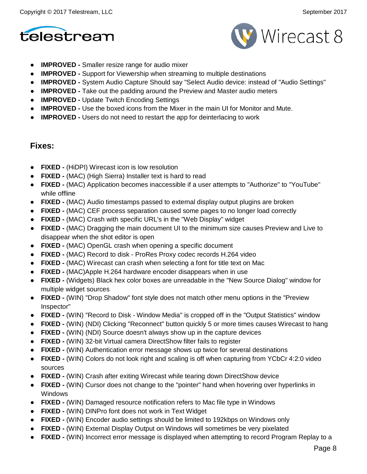



- **IMPROVED -** Smaller resize range for audio mixer
- **IMPROVED -** Support for Viewership when streaming to multiple destinations
- **IMPROVED -** System Audio Capture Should say "Select Audio device: instead of "Audio Settings"
- **IMPROVED -** Take out the padding around the Preview and Master audio meters
- **IMPROVED -** Update Twitch Encoding Settings
- **IMPROVED -** Use the boxed icons from the Mixer in the main UI for Monitor and Mute.
- **IMPROVED -** Users do not need to restart the app for deinterlacing to work

### **Fixes:**

- **FIXED -** (HiDPI) Wirecast icon is low resolution
- **FIXED -** (MAC) (High Sierra) Installer text is hard to read
- **FIXED -** (MAC) Application becomes inaccessible if a user attempts to "Authorize" to "YouTube" while offline
- **FIXED -** (MAC) Audio timestamps passed to external display output plugins are broken
- **FIXED -** (MAC) CEF process separation caused some pages to no longer load correctly
- **FIXED -** (MAC) Crash with specific URL's in the "Web Display" widget
- **FIXED -** (MAC) Dragging the main document UI to the minimum size causes Preview and Live to disappear when the shot editor is open
- **FIXED -** (MAC) OpenGL crash when opening a specific document
- **FIXED -** (MAC) Record to disk ProRes Proxy codec records H.264 video
- **FIXED -** (MAC) Wirecast can crash when selecting a font for title text on Mac
- **FIXED -** (MAC)Apple H.264 hardware encoder disappears when in use
- **FIXED -** (Widgets) Black hex color boxes are unreadable in the "New Source Dialog" window for multiple widget sources
- **FIXED -** (WIN) "Drop Shadow" font style does not match other menu options in the "Preview Inspector"
- **FIXED -** (WIN) "Record to Disk Window Media" is cropped off in the "Output Statistics" window
- **FIXED -** (WIN) (NDI) Clicking "Reconnect" button quickly 5 or more times causes Wirecast to hang
- **FIXED -** (WIN) (NDI) Source doesn't always show up in the capture devices
- **FIXED -** (WIN) 32-bit Virtual camera DirectShow filter fails to register
- **FIXED -** (WIN) Authentication error message shows up twice for several destinations
- **FIXED -** (WIN) Colors do not look right and scaling is off when capturing from YCbCr 4:2:0 video sources
- **FIXED -** (WIN) Crash after exiting Wirecast while tearing down DirectShow device
- **FIXED -** (WIN) Cursor does not change to the "pointer" hand when hovering over hyperlinks in Windows
- **FIXED -** (WIN) Damaged resource notification refers to Mac file type in Windows
- **FIXED -** (WIN) DINPro font does not work in Text Widget
- **FIXED -** (WIN) Encoder audio settings should be limited to 192kbps on Windows only
- **FIXED -** (WIN) External Display Output on Windows will sometimes be very pixelated
- **FIXED -** (WIN) Incorrect error message is displayed when attempting to record Program Replay to a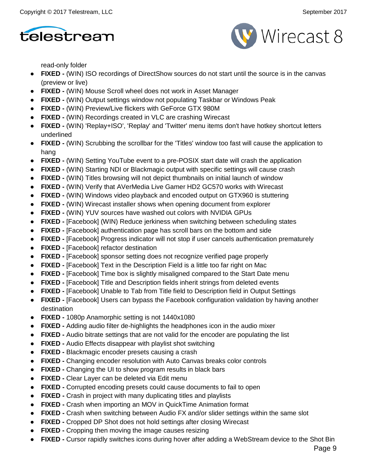



read-only folder

- **FIXED -** (WIN) ISO recordings of DirectShow sources do not start until the source is in the canvas (preview or live)
- **FIXED -** (WIN) Mouse Scroll wheel does not work in Asset Manager
- **FIXED -** (WIN) Output settings window not populating Taskbar or Windows Peak
- **FIXED -** (WIN) Preview/Live flickers with GeForce GTX 980M
- **FIXED -** (WIN) Recordings created in VLC are crashing Wirecast
- **FIXED -** (WIN) 'Replay+ISO', 'Replay' and 'Twitter' menu items don't have hotkey shortcut letters underlined
- **FIXED -** (WIN) Scrubbing the scrollbar for the 'Titles' window too fast will cause the application to hang
- **FIXED -** (WIN) Setting YouTube event to a pre-POSIX start date will crash the application
- **FIXED -** (WIN) Starting NDI or Blackmagic output with specific settings will cause crash
- **FIXED -** (WIN) Titles browsing will not depict thumbnails on initial launch of window
- **FIXED -** (WIN) Verify that AVerMedia Live Gamer HD2 GC570 works with Wirecast
- **FIXED -** (WIN) Windows video playback and encoded output on GTX960 is stuttering
- **FIXED -** (WIN) Wirecast installer shows when opening document from explorer
- **FIXED -** (WIN) YUV sources have washed out colors with NVIDIA GPUs
- **FIXED -** [Facebook] (WIN) Reduce jerkiness when switching between scheduling states
- **FIXED -** [Facebook] authentication page has scroll bars on the bottom and side
- **FIXED -** [Facebook] Progress indicator will not stop if user cancels authentication prematurely
- **FIXED -** [Facebook] refactor destination
- **FIXED -** [Facebook] sponsor setting does not recognize verified page properly
- **FIXED -** [Facebook] Text in the Description Field is a little too far right on Mac
- **FIXED -** [Facebook] Time box is slightly misaligned compared to the Start Date menu
- **FIXED -** [Facebook] Title and Description fields inherit strings from deleted events
- **FIXED -** [Facebook] Unable to Tab from Title field to Description field in Output Settings
- **FIXED -** [Facebook] Users can bypass the Facebook configuration validation by having another destination
- **FIXED -** 1080p Anamorphic setting is not 1440x1080
- **FIXED -** Adding audio filter de-highlights the headphones icon in the audio mixer
- **FIXED -** Audio bitrate settings that are not valid for the encoder are populating the list
- **FIXED -** Audio Effects disappear with playlist shot switching
- **FIXED -** Blackmagic encoder presets causing a crash
- **FIXED -** Changing encoder resolution with Auto Canvas breaks color controls
- **FIXED -** Changing the UI to show program results in black bars
- **FIXED -** Clear Layer can be deleted via Edit menu
- **FIXED -** Corrupted encoding presets could cause documents to fail to open
- **FIXED -** Crash in project with many duplicating titles and playlists
- **FIXED -** Crash when importing an MOV in QuickTime Animation format
- **FIXED -** Crash when switching between Audio FX and/or slider settings within the same slot
- **FIXED -** Cropped DP Shot does not hold settings after closing Wirecast
- **FIXED -** Cropping then moving the image causes resizing
- **FIXED -** Cursor rapidly switches icons during hover after adding a WebStream device to the Shot Bin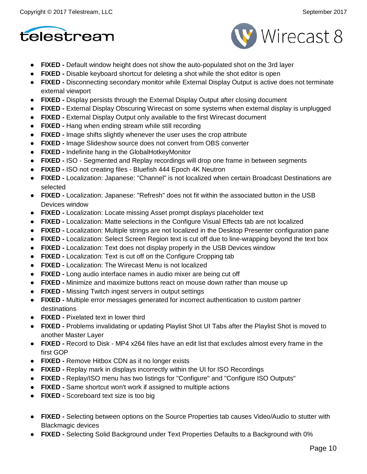



- **FIXED -** Default window height does not show the auto-populated shot on the 3rd layer
- **FIXED -** Disable keyboard shortcut for deleting a shot while the shot editor is open
- **FIXED -** Disconnecting secondary monitor while External Display Output is active does not terminate external viewport
- **FIXED -** Display persists through the External Display Output after closing document
- **FIXED -** External Display Obscuring Wirecast on some systems when external display is unplugged
- **FIXED -** External Display Output only available to the first Wirecast document
- **FIXED -** Hang when ending stream while still recording
- **FIXED -** Image shifts slightly whenever the user uses the crop attribute
- **FIXED -** Image Slideshow source does not convert from OBS converter
- **FIXED -** Indefinite hang in the GlobalHotkeyMonitor
- **FIXED -** ISO Segmented and Replay recordings will drop one frame in between segments
- **FIXED -** ISO not creating files Bluefish 444 Epoch 4K Neutron
- **FIXED -** Localization: Japanese: "Channel" is not localized when certain Broadcast Destinations are selected
- **FIXED -** Localization: Japanese: "Refresh" does not fit within the associated button in the USB Devices window
- **FIXED -** Localization: Locate missing Asset prompt displays placeholder text
- **FIXED -** Localization: Matte selections in the Configure Visual Effects tab are not localized
- **FIXED -** Localization: Multiple strings are not localized in the Desktop Presenter configuration pane
- **FIXED -** Localization: Select Screen Region text is cut off due to line-wrapping beyond the text box
- **FIXED -** Localization: Text does not display properly in the USB Devices window
- **FIXED -** Localization: Text is cut off on the Configure Cropping tab
- **FIXED -** Localization: The Wirecast Menu is not localized
- **FIXED -** Long audio interface names in audio mixer are being cut off
- **FIXED -** Minimize and maximize buttons react on mouse down rather than mouse up
- **FIXED -** Missing Twitch ingest servers in output settings
- **FIXED -** Multiple error messages generated for incorrect authentication to custom partner destinations
- **FIXED -** Pixelated text in lower third
- **FIXED -** Problems invalidating or updating Playlist Shot UI Tabs after the Playlist Shot is moved to another Master Layer
- **FIXED -** Record to Disk MP4 x264 files have an edit list that excludes almost every frame in the first GOP
- **FIXED -** Remove Hitbox CDN as it no longer exists
- **FIXED -** Replay mark in displays incorrectly within the UI for ISO Recordings
- **FIXED -** Replay/ISO menu has two listings for "Configure" and "Configure ISO Outputs"
- **FIXED -** Same shortcut won't work if assigned to multiple actions
- **FIXED -** Scoreboard text size is too big
- **FIXED -** Selecting between options on the Source Properties tab causes Video/Audio to stutter with Blackmagic devices
- **FIXED -** Selecting Solid Background under Text Properties Defaults to a Background with 0%